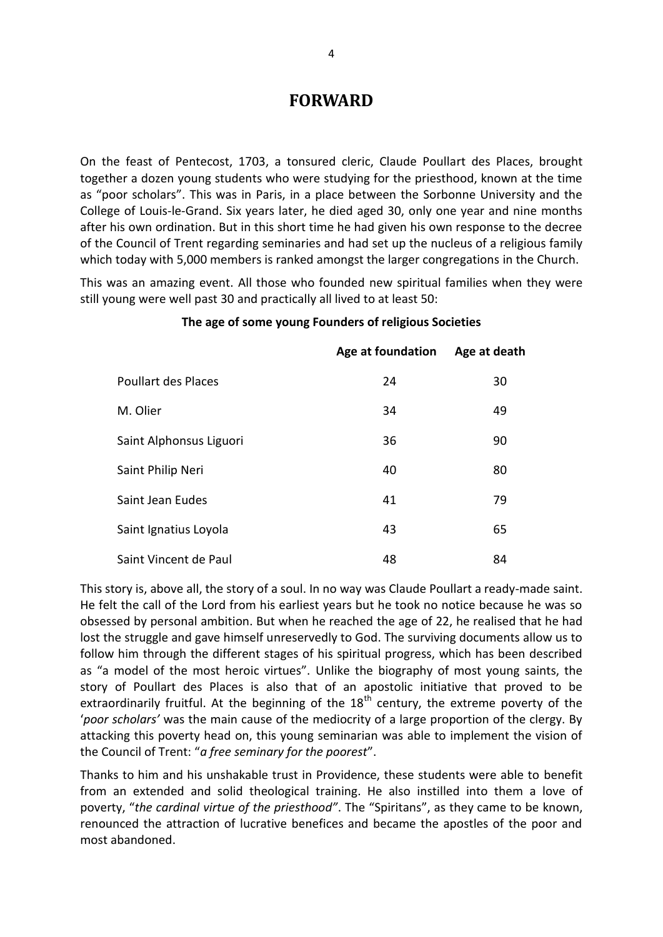## **FORWARD**

On the feast of Pentecost, 1703, a tonsured cleric, Claude Poullart des Places, brought together a dozen young students who were studying for the priesthood, known at the time as "poor scholars". This was in Paris, in a place between the Sorbonne University and the College of Louis-le-Grand. Six years later, he died aged 30, only one year and nine months after his own ordination. But in this short time he had given his own response to the decree of the Council of Trent regarding seminaries and had set up the nucleus of a religious family which today with 5,000 members is ranked amongst the larger congregations in the Church.

This was an amazing event. All those who founded new spiritual families when they were still young were well past 30 and practically all lived to at least 50:

|                            | Age at foundation | Age at death |
|----------------------------|-------------------|--------------|
| <b>Poullart des Places</b> | 24                | 30           |
| M. Olier                   | 34                | 49           |
| Saint Alphonsus Liguori    | 36                | 90           |
| Saint Philip Neri          | 40                | 80           |
| Saint Jean Eudes           | 41                | 79           |
| Saint Ignatius Loyola      | 43                | 65           |
| Saint Vincent de Paul      | 48                | 84           |

## **The age of some young Founders of religious Societies**

This story is, above all, the story of a soul. In no way was Claude Poullart a ready-made saint. He felt the call of the Lord from his earliest years but he took no notice because he was so obsessed by personal ambition. But when he reached the age of 22, he realised that he had lost the struggle and gave himself unreservedly to God. The surviving documents allow us to follow him through the different stages of his spiritual progress, which has been described as "a model of the most heroic virtues". Unlike the biography of most young saints, the story of Poullart des Places is also that of an apostolic initiative that proved to be extraordinarily fruitful. At the beginning of the  $18<sup>th</sup>$  century, the extreme poverty of the '*poor scholars'* was the main cause of the mediocrity of a large proportion of the clergy. By attacking this poverty head on, this young seminarian was able to implement the vision of the Council of Trent: "*a free seminary for the poorest*".

Thanks to him and his unshakable trust in Providence, these students were able to benefit from an extended and solid theological training. He also instilled into them a love of poverty, "*the cardinal virtue of the priesthood"*. The "Spiritans", as they came to be known, renounced the attraction of lucrative benefices and became the apostles of the poor and most abandoned.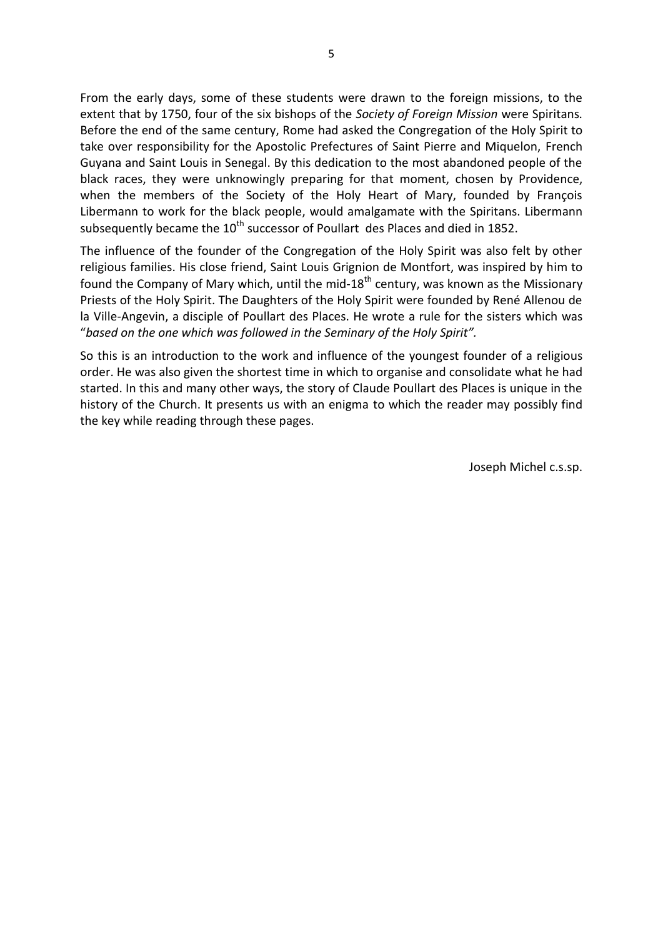From the early days, some of these students were drawn to the foreign missions, to the extent that by 1750, four of the six bishops of the *Society of Foreign Mission* were Spiritans*.*  Before the end of the same century, Rome had asked the Congregation of the Holy Spirit to take over responsibility for the Apostolic Prefectures of Saint Pierre and Miquelon, French Guyana and Saint Louis in Senegal. By this dedication to the most abandoned people of the black races, they were unknowingly preparing for that moment, chosen by Providence, when the members of the Society of the Holy Heart of Mary, founded by François Libermann to work for the black people, would amalgamate with the Spiritans. Libermann subsequently became the  $10^{th}$  successor of Poullart des Places and died in 1852.

The influence of the founder of the Congregation of the Holy Spirit was also felt by other religious families. His close friend, Saint Louis Grignion de Montfort, was inspired by him to found the Company of Mary which, until the mid- $18<sup>th</sup>$  century, was known as the Missionary Priests of the Holy Spirit. The Daughters of the Holy Spirit were founded by René Allenou de la Ville-Angevin, a disciple of Poullart des Places. He wrote a rule for the sisters which was "*based on the one which was followed in the Seminary of the Holy Spirit".* 

So this is an introduction to the work and influence of the youngest founder of a religious order. He was also given the shortest time in which to organise and consolidate what he had started. In this and many other ways, the story of Claude Poullart des Places is unique in the history of the Church. It presents us with an enigma to which the reader may possibly find the key while reading through these pages.

Joseph Michel c.s.sp.